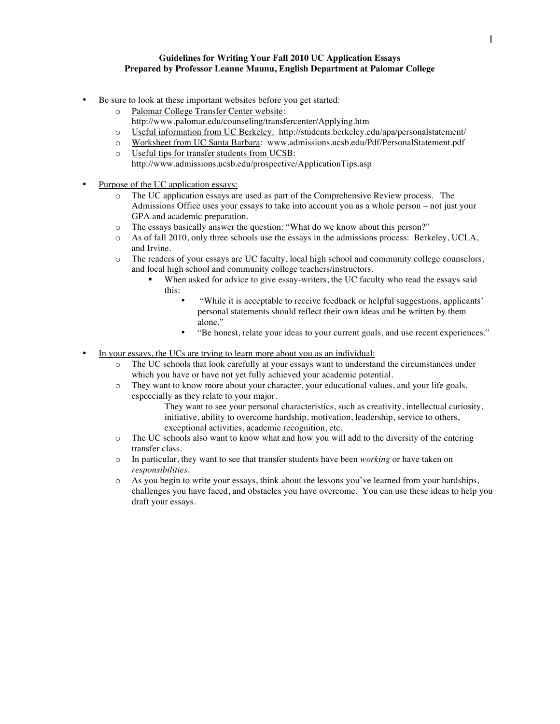## **Guidelines for Writing Your Fall 2010 UC Application Essays Prepared by Professor Leanne Maunu, English Department at Palomar College**

- Be sure to look at these important websites before you get started:
	- o Palomar College Transfer Center website: http://www.palomar.edu/counseling/transfercenter/Applying.htm
	- o Useful information from UC Berkeley: http://students.berkeley.edu/apa/personalstatement/
	- o Worksheet from UC Santa Barbara: www.admissions.ucsb.edu/Pdf/PersonalStatement.pdf
	- o Useful tips for transfer students from UCSB: http://www.admissions.ucsb.edu/prospective/ApplicationTips.asp
- Purpose of the UC application essays:
	- o The UC application essays are used as part of the Comprehensive Review process. The Admissions Office uses your essays to take into account you as a whole person – not just your GPA and academic preparation.
	- o The essays basically answer the question: "What do we know about this person?"
	- o As of fall 2010, only three schools use the essays in the admissions process: Berkeley, UCLA, and Irvine.
	- o The readers of your essays are UC faculty, local high school and community college counselors, and local high school and community college teachers/instructors.
		- When asked for advice to give essay-writers, the UC faculty who read the essays said this:
			- "While it is acceptable to receive feedback or helpful suggestions, applicants' personal statements should reflect their own ideas and be written by them alone."
			- "Be honest, relate your ideas to your current goals, and use recent experiences."
- In your essays, the UCs are trying to learn more about you as an individual:
	- o The UC schools that look carefully at your essays want to understand the circumstances under which you have or have not yet fully achieved your academic potential.
	- o They want to know more about your character, your educational values, and your life goals, espcecially as they relate to your major.
		- They want to see your personal characteristics, such as creativity, intellectual curiosity, initiative, ability to overcome hardship, motivation, leadership, service to others, exceptional activities, academic recognition, etc.
	- o The UC schools also want to know what and how you will add to the diversity of the entering transfer class.
	- o In particular, they want to see that transfer students have been *working* or have taken on *responsibilities.*
	- o As you begin to write your essays, think about the lessons you've learned from your hardships, challenges you have faced, and obstacles you have overcome. You can use these ideas to help you draft your essays.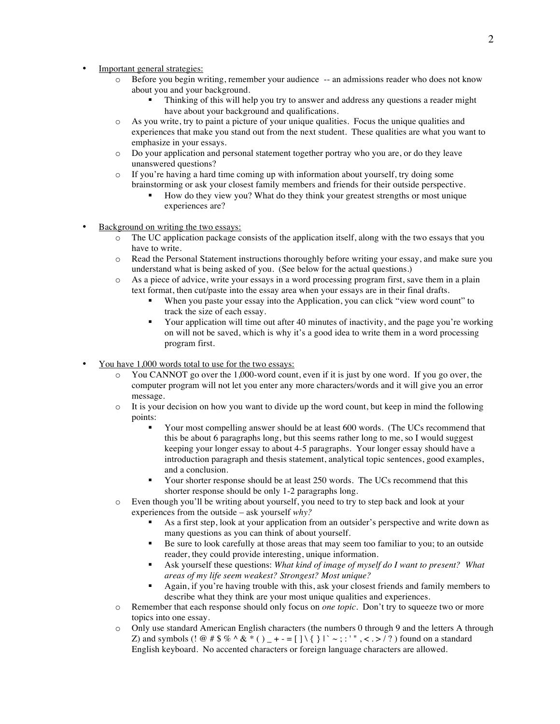- Important general strategies:
	- o Before you begin writing, remember your audience -- an admissions reader who does not know about you and your background.
		- Thinking of this will help you try to answer and address any questions a reader might have about your background and qualifications.
	- o As you write, try to paint a picture of your unique qualities. Focus the unique qualities and experiences that make you stand out from the next student. These qualities are what you want to emphasize in your essays.
	- o Do your application and personal statement together portray who you are, or do they leave unanswered questions?
	- $\circ$  If you're having a hard time coming up with information about yourself, try doing some brainstorming or ask your closest family members and friends for their outside perspective.
		- How do they view you? What do they think your greatest strengths or most unique experiences are?
- Background on writing the two essays:
	- o The UC application package consists of the application itself, along with the two essays that you have to write.
	- o Read the Personal Statement instructions thoroughly before writing your essay, and make sure you understand what is being asked of you. (See below for the actual questions.)
	- o As a piece of advice, write your essays in a word processing program first, save them in a plain text format, then cut/paste into the essay area when your essays are in their final drafts.
		- When you paste your essay into the Application, you can click "view word count" to track the size of each essay.
		- Your application will time out after 40 minutes of inactivity, and the page you're working on will not be saved, which is why it's a good idea to write them in a word processing program first.
- You have 1,000 words total to use for the two essays:
	- o You CANNOT go over the 1,000-word count, even if it is just by one word. If you go over, the computer program will not let you enter any more characters/words and it will give you an error message.
	- $\circ$  It is your decision on how you want to divide up the word count, but keep in mind the following points:
		- Your most compelling answer should be at least 600 words. (The UCs recommend that this be about 6 paragraphs long, but this seems rather long to me, so I would suggest keeping your longer essay to about 4-5 paragraphs. Your longer essay should have a introduction paragraph and thesis statement, analytical topic sentences, good examples, and a conclusion.
		- Your shorter response should be at least 250 words. The UCs recommend that this shorter response should be only 1-2 paragraphs long.
	- o Even though you'll be writing about yourself, you need to try to step back and look at your experiences from the outside – ask yourself *why?*
		- As a first step, look at your application from an outsider's perspective and write down as many questions as you can think of about yourself.
		- Be sure to look carefully at those areas that may seem too familiar to you; to an outside reader, they could provide interesting, unique information.
		- Ask yourself these questions: *What kind of image of myself do I want to present? What areas of my life seem weakest? Strongest? Most unique?*
		- Again, if you're having trouble with this, ask your closest friends and family members to describe what they think are your most unique qualities and experiences.
	- o Remember that each response should only focus on *one topic*. Don't try to squeeze two or more topics into one essay.
	- o Only use standard American English characters (the numbers 0 through 9 and the letters A through Z) and symbols (!  $@$  # \$ % ^ & \* ( )  $_{-}$  + - = [ ] \ { } | ` ~ ; : ' ", < . > / ? ) found on a standard English keyboard. No accented characters or foreign language characters are allowed.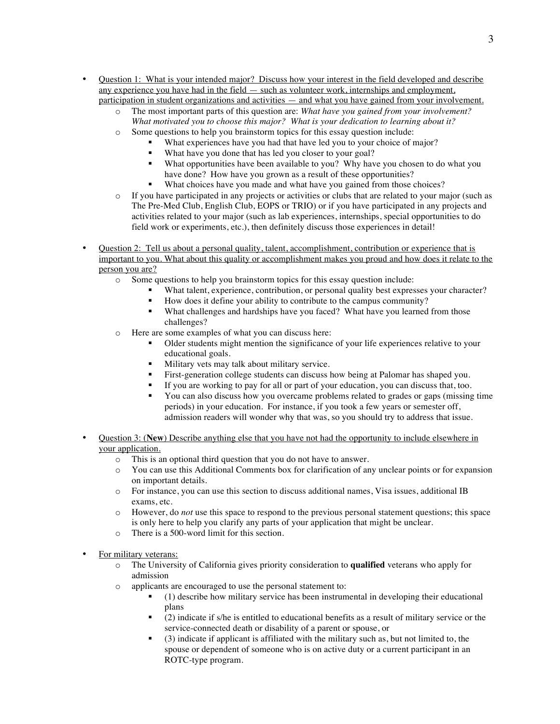- Question 1: What is your intended major? Discuss how your interest in the field developed and describe any experience you have had in the field — such as volunteer work, internships and employment, participation in student organizations and activities — and what you have gained from your involvement.
	- o The most important parts of this question are: *What have you gained from your involvement? What motivated you to choose this major? What is your dedication to learning about it?*
	- o Some questions to help you brainstorm topics for this essay question include:
		- What experiences have you had that have led you to your choice of major?
		- What have you done that has led you closer to your goal?
		- What opportunities have been available to you? Why have you chosen to do what you have done? How have you grown as a result of these opportunities?
		- What choices have you made and what have you gained from those choices?
	- o If you have participated in any projects or activities or clubs that are related to your major (such as The Pre-Med Club, English Club, EOPS or TRIO) or if you have participated in any projects and activities related to your major (such as lab experiences, internships, special opportunities to do field work or experiments, etc.), then definitely discuss those experiences in detail!
- Question 2: Tell us about a personal quality, talent, accomplishment, contribution or experience that is important to you. What about this quality or accomplishment makes you proud and how does it relate to the person you are?
	- o Some questions to help you brainstorm topics for this essay question include:
		- What talent, experience, contribution, or personal quality best expresses your character?
		- How does it define your ability to contribute to the campus community?
		- What challenges and hardships have you faced? What have you learned from those challenges?
	- o Here are some examples of what you can discuss here:
		- Older students might mention the significance of your life experiences relative to your educational goals.
		- **Military vets may talk about military service.**
		- First-generation college students can discuss how being at Palomar has shaped you.
		- If you are working to pay for all or part of your education, you can discuss that, too.
		- You can also discuss how you overcame problems related to grades or gaps (missing time periods) in your education. For instance, if you took a few years or semester off, admission readers will wonder why that was, so you should try to address that issue.
- Question 3: (**New**) Describe anything else that you have not had the opportunity to include elsewhere in your application.
	- o This is an optional third question that you do not have to answer.
	- o You can use this Additional Comments box for clarification of any unclear points or for expansion on important details.
	- o For instance, you can use this section to discuss additional names, Visa issues, additional IB exams, etc.
	- o However, do *not* use this space to respond to the previous personal statement questions; this space is only here to help you clarify any parts of your application that might be unclear.
	- o There is a 500-word limit for this section.
- For military veterans:
	- o The University of California gives priority consideration to **qualified** veterans who apply for admission
	- o applicants are encouraged to use the personal statement to:
		- (1) describe how military service has been instrumental in developing their educational plans
		- (2) indicate if s/he is entitled to educational benefits as a result of military service or the service-connected death or disability of a parent or spouse, or
		- (3) indicate if applicant is affiliated with the military such as, but not limited to, the spouse or dependent of someone who is on active duty or a current participant in an ROTC-type program.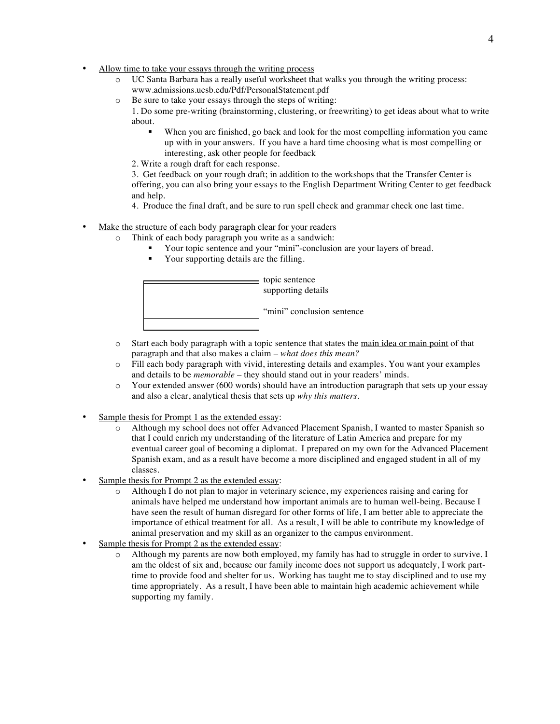- Allow time to take your essays through the writing process
	- o UC Santa Barbara has a really useful worksheet that walks you through the writing process: www.admissions.ucsb.edu/Pdf/PersonalStatement.pdf
	- o Be sure to take your essays through the steps of writing:
		- 1. Do some pre-writing (brainstorming, clustering, or freewriting) to get ideas about what to write about.
			- When you are finished, go back and look for the most compelling information you came up with in your answers. If you have a hard time choosing what is most compelling or interesting, ask other people for feedback
			- 2. Write a rough draft for each response.

3. Get feedback on your rough draft; in addition to the workshops that the Transfer Center is offering, you can also bring your essays to the English Department Writing Center to get feedback and help.

4. Produce the final draft, and be sure to run spell check and grammar check one last time.

- Make the structure of each body paragraph clear for your readers
	- o Think of each body paragraph you write as a sandwich:
		- Your topic sentence and your "mini"-conclusion are your layers of bread.
		- Your supporting details are the filling.



- o Start each body paragraph with a topic sentence that states the main idea or main point of that paragraph and that also makes a claim – *what does this mean?*
- o Fill each body paragraph with vivid, interesting details and examples. You want your examples and details to be *memorable* – they should stand out in your readers' minds.
- o Your extended answer (600 words) should have an introduction paragraph that sets up your essay and also a clear, analytical thesis that sets up *why this matters.*
- Sample thesis for Prompt 1 as the extended essay:
	- o Although my school does not offer Advanced Placement Spanish, I wanted to master Spanish so that I could enrich my understanding of the literature of Latin America and prepare for my eventual career goal of becoming a diplomat. I prepared on my own for the Advanced Placement Spanish exam, and as a result have become a more disciplined and engaged student in all of my classes.
- Sample thesis for Prompt 2 as the extended essay:
	- o Although I do not plan to major in veterinary science, my experiences raising and caring for animals have helped me understand how important animals are to human well-being. Because I have seen the result of human disregard for other forms of life, I am better able to appreciate the importance of ethical treatment for all. As a result, I will be able to contribute my knowledge of animal preservation and my skill as an organizer to the campus environment.
- Sample thesis for Prompt 2 as the extended essay:
	- o Although my parents are now both employed, my family has had to struggle in order to survive. I am the oldest of six and, because our family income does not support us adequately, I work parttime to provide food and shelter for us. Working has taught me to stay disciplined and to use my time appropriately. As a result, I have been able to maintain high academic achievement while supporting my family.